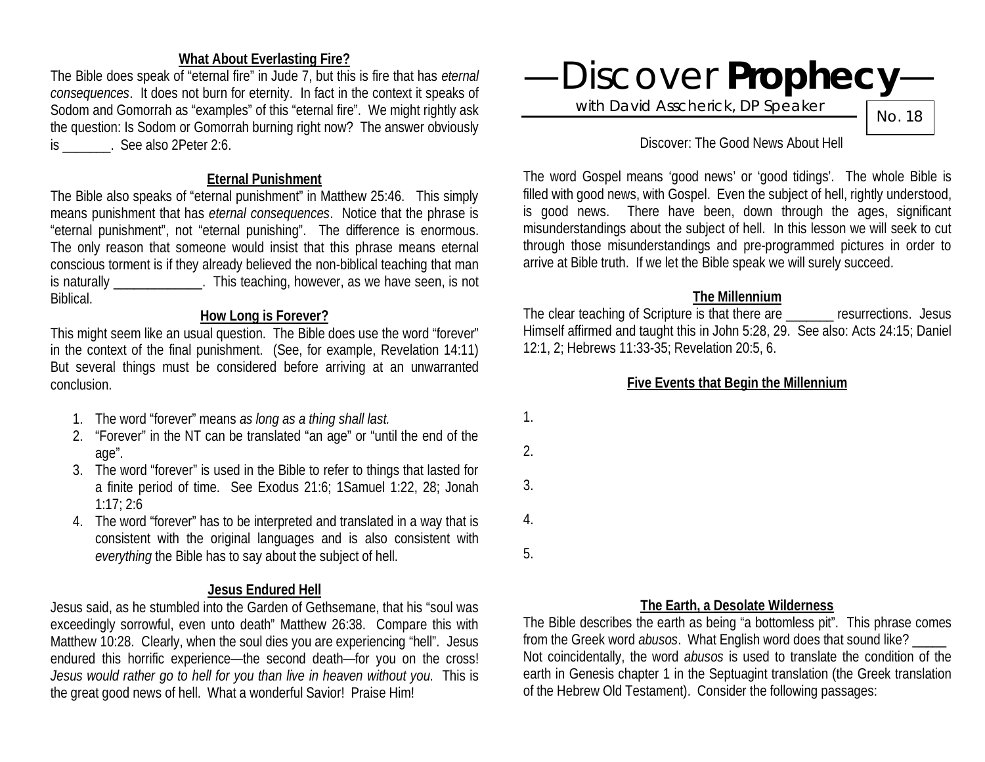## **What About Everlasting Fire?**

The Bible does speak of "eternal fire" in Jude 7, but this is fire that has *eternal consequences*. It does not burn for eternity. In fact in the context it speaks of Sodom and Gomorrah as "examples" of this "eternal fire". We might rightly ask the question: Is Sodom or Gomorrah burning right now? The answer obviously is \_\_\_\_\_\_\_. See also 2Peter 2:6.

#### **Eternal Punishment**

The Bible also speaks of "eternal punishment" in Matthew 25:46. This simply means punishment that has *eternal consequences*. Notice that the phrase is "eternal punishment", not "eternal punishing". The difference is enormous. The only reason that someone would insist that this phrase means eternal conscious torment is if they already believed the non-biblical teaching that man is naturally \_\_\_\_\_\_\_\_\_\_\_\_\_. This teaching, however, as we have seen, is not Biblical.

## **How Long is Forever?**

This might seem like an usual question. The Bible does use the word "forever" in the context of the final punishment. (See, for example, Revelation 14:11) But several things must be considered before arriving at an unwarranted conclusion.

- 1. The word "forever" means *as long as a thing shall last.*
- 2. "Forever" in the NT can be translated "an age" or "until the end of the age".
- 3. The word "forever" is used in the Bible to refer to things that lasted for a finite period of time. See Exodus 21:6; 1Samuel 1:22, 28; Jonah 1:17; 2:6
- 4. The word "forever" has to be interpreted and translated in a way that is consistent with the original languages and is also consistent with *everything* the Bible has to say about the subject of hell.

## **Jesus Endured Hell**

Jesus said, as he stumbled into the Garden of Gethsemane, that his "soul was exceedingly sorrowful, even unto death" Matthew 26:38. Compare this with Matthew 10:28. Clearly, when the soul dies you are experiencing "hell". Jesus endured this horrific experience—the second death—for you on the cross! *Jesus would rather go to hell for you than live in heaven without you.* This is the great good news of hell. What a wonderful Savior! Praise Him!



with David Asscherick, DP Speaker

No. 18

#### Discover: The Good News About Hell

The word Gospel means 'good news' or 'good tidings'. The whole Bible is filled with good news, with Gospel. Even the subject of hell, rightly understood, is good news. There have been, down through the ages, significant misunderstandings about the subject of hell. In this lesson we will seek to cut through those misunderstandings and pre-programmed pictures in order to arrive at Bible truth. If we let the Bible speak we will surely succeed.

#### **The Millennium**

The clear teaching of Scripture is that there are **Example 20** resurrections. Jesus Himself affirmed and taught this in John 5:28, 29. See also: Acts 24:15; Daniel 12:1, 2; Hebrews 11:33-35; Revelation 20:5, 6.

## **Five Events that Begin the Millennium**

1. 2. 3. 4. 5.

## **The Earth, a Desolate Wilderness**

The Bible describes the earth as being "a bottomless pit". This phrase comes from the Greek word *abusos*. What English word does that sound like? \_\_\_\_\_ Not coincidentally, the word *abusos* is used to translate the condition of the earth in Genesis chapter 1 in the Septuagint translation (the Greek translation of the Hebrew Old Testament). Consider the following passages: